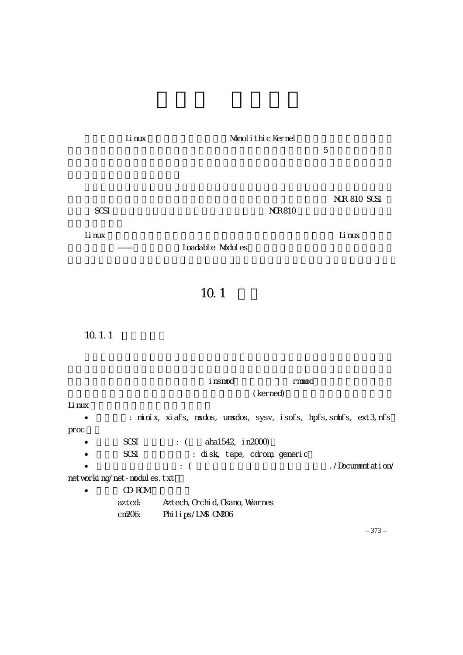

|        |                            | i nsmod                                                            |                              | rmod |                  |
|--------|----------------------------|--------------------------------------------------------------------|------------------------------|------|------------------|
|        |                            |                                                                    | (kerned)                     |      |                  |
| Li nux |                            |                                                                    |                              |      |                  |
| ٠      |                            | : minix, xiafs, msdos, umsdos, sysv, isofs, hpfs, smbfs, ext3, nfs |                              |      |                  |
| pr oc  |                            |                                                                    |                              |      |                  |
|        | SCSI                       | : $($ aha1542, in 2000)                                            |                              |      |                  |
|        | SCSI                       |                                                                    | : disk, tape, cdrom, generic |      |                  |
|        |                            | $\therefore$ (                                                     |                              |      | ./Documentation/ |
|        | networking/net-modules.txt |                                                                    |                              |      |                  |
|        | CD-ROM                     |                                                                    |                              |      |                  |
|        | aztcd:                     | Aztech, Orchi d, Okano, Wearnes                                    |                              |      |                  |
|        | cm206                      | Philips/LNS CN206                                                  |                              |      |                  |

– 373 –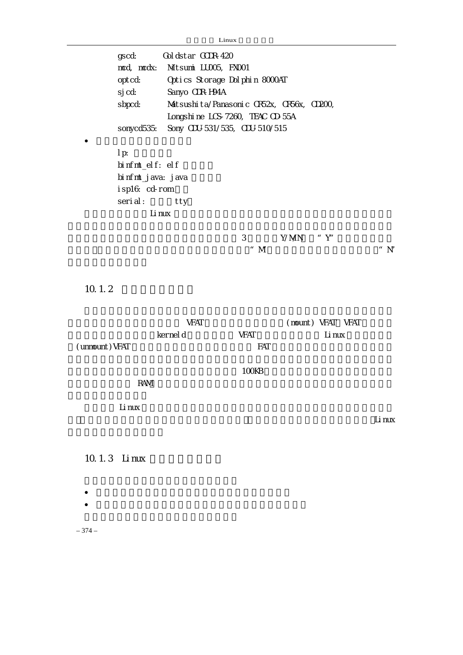Linux

| gscd:<br>$mcd$ , $mcdx$ :<br>opt cd:<br>sj cd:<br>sbpcd:<br>sonycd535:         | Gol dstar GCDR-420<br>Mitsumi LUCO5, FXCO1<br>Optics Storage Dolphin 8000AT<br>Sanyo CDR-H94A<br>Matsushi ta/Panasoni c CR52x, CR56x, CD200,<br>Longshi ne LCS-7260, TEAC CD-55A<br>Sony CDU-531/535, CDU-510/515 |                    |                             |                      |
|--------------------------------------------------------------------------------|-------------------------------------------------------------------------------------------------------------------------------------------------------------------------------------------------------------------|--------------------|-----------------------------|----------------------|
| $1 p$ :<br>binfmt_elf: elf<br>bi nfmt_j ava: j ava<br>isp16: cd-rom<br>serial: | tty<br>Li nux                                                                                                                                                                                                     |                    |                             |                      |
|                                                                                |                                                                                                                                                                                                                   | 3<br>" $M$         | Y/MN<br>"Y"                 | $^{\prime\prime}$ N' |
| 10.1.2                                                                         |                                                                                                                                                                                                                   |                    |                             |                      |
| (unnount) VFAT                                                                 | <b>VFAT</b><br>kernel d                                                                                                                                                                                           | <b>VFAT</b><br>FAT | (mount) VFAT VFAT<br>Li nux |                      |
| <b>RAM</b>                                                                     |                                                                                                                                                                                                                   | 100KB              |                             |                      |
| Li nux                                                                         |                                                                                                                                                                                                                   |                    |                             | Li nux               |
| 10.1.3 Linux                                                                   |                                                                                                                                                                                                                   |                    |                             |                      |
|                                                                                |                                                                                                                                                                                                                   |                    |                             |                      |

– 374 –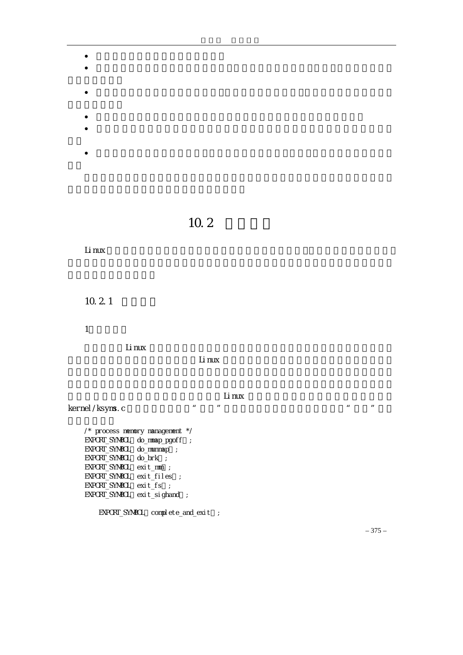- $\bullet$  and  $\bullet$  and  $\bullet$  and  $\bullet$  and  $\bullet$  and  $\bullet$  and  $\bullet$  and  $\bullet$  and  $\bullet$  and  $\bullet$  $\bullet$  and  $\bullet$  the contract of the contract of the contract of the contract of the contract of the contract of the contract of the contract of the contract of the contract of the contract of the contract of the contract of
- $\bullet$
- 
- $\bullet$ •  $\bullet$
- 
- $\bullet$

 $10.2$ 

```
Linux 内核模块机制的实现与内核其他部分的关系并不是很大,相对来说也不是很复杂,
10.2.11.模块符号
```
 $Li$  nux  $l$ 

 $\mathsf L$ inux  $\mathsf L$ inux  $\mathsf L$ inux  $\mathsf L$ 

 $\mathsf L$ inux  $\mathsf L$ inux  $\mathsf L$ 

kernel/ksyms.c 中定义了从中可以"移出"的符号,例如进程管理子系统可以"移出"的符

```
/* process memory management */ 
EXPORT_SYMBOL do_mmap_pgoff;
EXPORT_SYMBOL do_munmap;
EXPORT_SYMBOL do_brk ;
EXPORT_SYMBOL exit_mm);
EXPORT_SYMBOL exit_files ;
EXPORT_SYMBOL exit_fs ;
EXPORT_SYMBOL exit_sighand ;
```
EXPORT\_SYNBOL complete\_and\_exit ;

– 375 –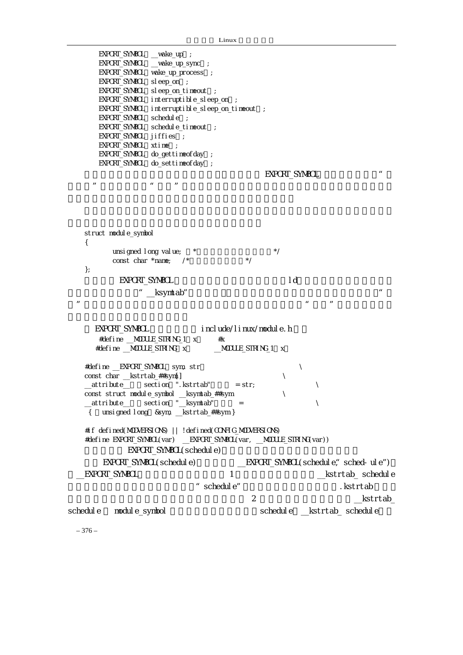| EXPORT_SYMBOL __wake_up ;        |                                                                      |                    |                        |                                            |
|----------------------------------|----------------------------------------------------------------------|--------------------|------------------------|--------------------------------------------|
|                                  | EXPORT_SYMBOL __vake_up_sync ;                                       |                    |                        |                                            |
|                                  | EXPORT_SYMBOL vake_up_process ;                                      |                    |                        |                                            |
| EXPORT_SYMBOL sleep_on ;         |                                                                      |                    |                        |                                            |
|                                  | EXPORT_SYNBOL sleep_on_timeout ;                                     |                    |                        |                                            |
|                                  | EXPORT_SYNBOL interruptible_sleep_on ;                               |                    |                        |                                            |
|                                  | EXPORT_SYNBOL interruptible_sleep_on_timeout ;                       |                    |                        |                                            |
| EXPORT_SYMBOL schedule;          |                                                                      |                    |                        |                                            |
|                                  | EXPORT_SYNBOL schedule_timeout ;                                     |                    |                        |                                            |
| EXPORT_SYNBOL jiffies ;          |                                                                      |                    |                        |                                            |
| EXPORT_SYNBOL xtime              | $\cdot$ :                                                            |                    |                        |                                            |
|                                  | EXPORT_SYNBOL do_gettimeofday ;                                      |                    |                        |                                            |
|                                  | EXPORT_SYMBOL do_settimeofday ;                                      |                    |                        |                                            |
|                                  |                                                                      |                    | EXPORT_SYNBOL          | $\mathbf{u}$                               |
|                                  | $\pmb{\mathit{u}}$                                                   |                    |                        |                                            |
| $\boldsymbol{\mathit{II}}$       | $\boldsymbol{\mathit{II}}$                                           |                    |                        |                                            |
|                                  |                                                                      |                    |                        |                                            |
|                                  |                                                                      |                    |                        |                                            |
|                                  |                                                                      |                    |                        |                                            |
|                                  |                                                                      |                    |                        |                                            |
| struct module_symbol             |                                                                      |                    |                        |                                            |
| {                                |                                                                      |                    |                        |                                            |
|                                  | unsi gned I ong val ue;<br>$\star$                                   |                    | $^*/$                  |                                            |
| const char *name;                | $\frac{1}{2}$                                                        | $^*/$              |                        |                                            |
| $\}$                             |                                                                      |                    |                        |                                            |
| EXPORT_SYNBOL                    |                                                                      |                    | I d                    |                                            |
|                                  | _ksyntab"                                                            |                    |                        | $\boldsymbol{u}$                           |
| $\boldsymbol{\mathsf{II}}$       |                                                                      |                    |                        | $\mathbf{u}$<br>$\boldsymbol{\mathit{II}}$ |
|                                  |                                                                      |                    |                        |                                            |
|                                  |                                                                      |                    |                        |                                            |
| EXPORT_SYNBOL                    |                                                                      |                    | include/linux/module.h |                                            |
|                                  | #define __MODULE_STRING_1 x<br>#x                                    |                    |                        |                                            |
|                                  | #define __MODULE_STRING x                                            | _MODULE_STRING_1 x |                        |                                            |
|                                  |                                                                      |                    |                        |                                            |
| #define __EXPORT_SYNBOL sym, str |                                                                      |                    |                        | ∖                                          |
| const char __kstrtab_##sym[]     |                                                                      |                    | ∖                      |                                            |
|                                  | attribute___ section ".kstrtab"                                      | $= str$            |                        |                                            |
|                                  | const struct module_symbol __ksymtab_##sym                           |                    |                        |                                            |
| __attribute__                    | section "_ksymtab"                                                   |                    |                        | X                                          |
| $\{$                             | unsigned long &sym, __kstrtab_##sym}                                 |                    |                        |                                            |
|                                  |                                                                      |                    |                        |                                            |
|                                  | #if defined(MODVERSIONS)     ! defined(CONFIG_MODVERSIONS)           |                    |                        |                                            |
|                                  | #define EXPORT_SYNBOL(var) __EXPORT_SYNBOL(var, __MOULE_STRING(var)) |                    |                        |                                            |
|                                  |                                                                      |                    |                        |                                            |
|                                  | EXPORT_SYNBOL(schedule)                                              |                    |                        |                                            |
|                                  | EXPORT_SYNBOL(schedule)                                              |                    |                        | <b>EXPORT_SYNBOL(schedule; sched-ule")</b> |
| EXPORT_SYNBOL                    |                                                                      | 1                  |                        | _kstrtab_schedule                          |
|                                  | $\pmb{\mu}$                                                          |                    |                        |                                            |
|                                  | schedul e"                                                           |                    |                        | .kstrtab                                   |
|                                  |                                                                      | $\overline{2}$     |                        | kstrtab                                    |
| schedul e<br>modul e_symbol      |                                                                      |                    |                        | schedule __kstrtab_schedule                |
|                                  |                                                                      |                    |                        |                                            |
|                                  |                                                                      |                    |                        |                                            |

– 376 –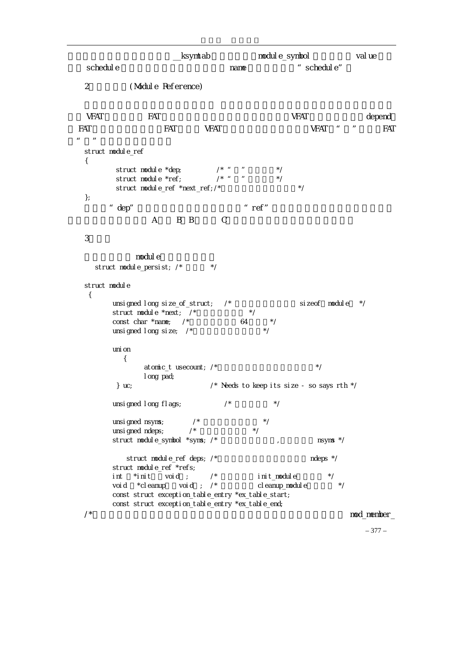```
http://world.html //world.html //world.html //world.html //world.html //world.html //world.html //wo<br>html //world.html //world.html //world.html //world.html //world.html //world.html //world.html //world.html /
    schedule extension of the name that the schedule" schedule"
    2 (Module Reference)
\sqrt{FAT} FAT FAT \sqrt{FAT} \sqrt{FAT} depend
  FAT FAT VFAT WEAT VERT " FAT
\mu and \etastruct module_ref 
    { 
             struct module *dep; \begin{array}{ccc} & & \nearrow & \end{array} " */<br>struct module *ref: \begin{array}{ccc} & & \nearrow & \end{array} " */
             \frac{1}{2} struct module *ref; \frac{1}{2} /* "
             struct module_ref *next_ref;/* */
    }; 
    \alpha dep" and \alpha is the set of \alpha is the refermed to the set of \alpha is the refermed to \alpha is the set of \alphaA B B C
    3.模块 
                   modul e
       struct module_persist; \frac{x}{x} */
    struct module
      { 
             unsigned long size_of_struct; /* 模块结构的大小,即 sizeof(module) */ 
            struct module *next; \frac{1}{2}const char *name; /* 64 */
            unsigned I ong size; \frac{\ }{x}uni on
               { 
                      atomic_t usecount; \prime^* \rightarrow \prime long pad; 
              } uc; /* Needs to keep its size - so says rth */ 
            unsigned long flags; \frac{x}{1 + 1} */
            unsigned nsyms; \frac{x}{1+x} */<br>unsigned ndeps: \frac{x}{1+x} */
            unsigned ndeps;
            struct module_symbol *syms; /* 1999 . The magnetic module of the syms */
                struct module ref deps; \frac{1}{\lambda} and \frac{1}{\lambda} ndeps \frac{1}{\lambda} ndeps \frac{1}{\lambda} struct module_ref *refs; 
            int \quad *init \quad \text{void}; /* int \quad int\_module \quad \text{*/}void *cleanup void; /* cleanup_module */
             const struct exception_table_entry *ex_table_start; 
             const struct exception_table_entry *ex_table_end; 
    \lambda^* mod_member_
```
– 377 –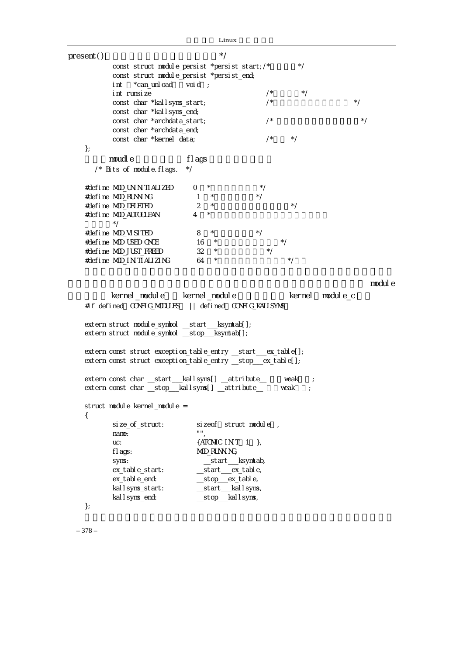|                                                                | Linux               |                    |        |           |
|----------------------------------------------------------------|---------------------|--------------------|--------|-----------|
| present()                                                      | $^*/$               |                    |        |           |
| const struct module_persist *persist_start; /*                 |                     |                    | $^*/$  |           |
| const struct module_persist *persist_end;                      |                     |                    |        |           |
| *can_unl oad<br>i nt                                           | voi d;              |                    |        |           |
| int runsize                                                    |                     | /                  | $^*/$  |           |
| const char *kallsyns_start;                                    |                     | /                  |        | $^*/$     |
| const char *kall syns_end;                                     |                     |                    |        |           |
| const char *archdata_start;                                    |                     | /                  |        | $^*/$     |
| const char *archdata_end;                                      |                     |                    |        |           |
| const char *kernel_data;                                       |                     | /                  | $^*/$  |           |
| $\}$ ;                                                         |                     |                    |        |           |
| noudl e                                                        | fl ags              |                    |        |           |
| $\prime^*$ Bits of module. flags.                              | $^*/$               |                    |        |           |
| #define MOD_UN N TI ALIZED                                     | $^{\star}$<br>0     | $^*/$              |        |           |
| #define MOD_RUNN NG                                            | $\mathbf{1}$        | $^*/$              |        |           |
| #define MOD_DELETED                                            | 2<br>$^{\star}$     |                    | $^*/$  |           |
| #define MOD_AUTOCLEAN                                          | 4<br>$^{\star}$     |                    |        |           |
| $^*/$                                                          |                     |                    |        |           |
| #define MOD_VISITED                                            | $\star$<br>8        | $^*/$              |        |           |
| #define MOD_USED_ONCE                                          | 16                  |                    |        |           |
| #define MOD_JUST_FREED                                         | 32<br>$\star$       |                    |        |           |
| #define MOD_IN TIALIZING                                       | $\star$<br>64       |                    | * /    |           |
|                                                                |                     |                    |        |           |
|                                                                |                     |                    |        | modul e   |
| kernel_module kernel_module                                    |                     |                    | kernel | modul e_c |
| #if defined CONFIG_MODULES    defined CONFIG_KALLSYN\$         |                     |                    |        |           |
|                                                                |                     |                    |        |           |
| extern struct module_symbol __start___ksymtab[];               |                     |                    |        |           |
| extern struct module_symbol __stop__ksymtab[];                 |                     |                    |        |           |
|                                                                |                     |                    |        |           |
| extern const struct exception_table_entry __start__ex_table[]; |                     |                    |        |           |
| extern const struct exception_table_entry __stop__ex_table[];  |                     |                    |        |           |
|                                                                |                     |                    |        |           |
| extern const char __start___kallsyns[] __attribute__           |                     |                    | veak   |           |
| extern const char __stop__kallsyns[] __attribute__             |                     |                    | veak   |           |
| struct module kernel_module =                                  |                     |                    |        |           |
| $\{$                                                           |                     |                    |        |           |
| size_of_struct:                                                | si zeof             | struct module,     |        |           |
| name:                                                          | n n                 |                    |        |           |
| UC:                                                            | {ATOMIC_INT 1 },    |                    |        |           |
| fl ags:                                                        | MOD_RUNN NG,        |                    |        |           |
| syns:                                                          |                     | __start___ksymtab, |        |           |
| ex_table_start:                                                | __start___ex_table, |                    |        |           |
| ex_table_end:                                                  | _stop_ex_table,     |                    |        |           |
| kallsyms_start:                                                | __start___kallsyms, |                    |        |           |
| kal I syns_end:                                                | _stop___kallsyms,   |                    |        |           |
| $\}$ ;                                                         |                     |                    |        |           |
|                                                                |                     |                    |        |           |

– 378 –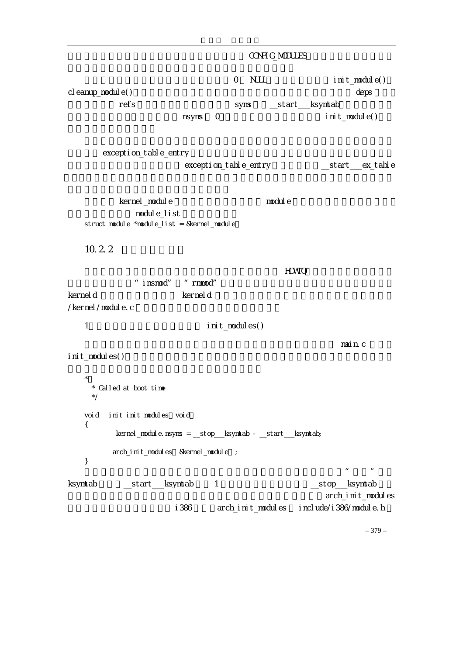– 379 – CONFIG\_MODULES 0 NULL init\_module() cleanup\_module() deps deps refs syms \_\_start\_\_\_ksymtab, nsyms O, init\_module() exception\_table\_entry 都被集中在一个数组中,内核的 exception\_table\_entry 结构数组就为\_\_start\_\_\_ex\_table kernel\_module module nodule module list struct module \*module\_list = &kernel\_module  $10.2.2$  $H\text{O}(\text{NO})$ "insmod" "rmmod" kerneld example the second later net defined a second that the second second and  $k$  and  $k$  and  $k$ /kernel/module.c 1 init\_modules()  $\mathsf{m}$ ain.c – main.c – main.c – main.c – main.c –  $\mathsf{m}$ init\_modules()  $*$  \* Called at boot time \*/ void \_\_init init\_modules(void) { kernel\_module.nsyms = \_\_stop\_\_\_ksymtab - \_\_start\_\_\_ksymtab; arch\_init\_modules &kernel\_module ; }  $\mu$  and the contract text of the contract text of the contract of the contract of the contract of the contract of the contract of the contract of the contract of the contract of the contract of the contract of the contra ksymtab 区段,\_\_start\_\_\_ksymtab 为第 1 个内核符号结构的地址,\_\_stop\_\_\_ksymtab 为最 arch\_init\_modules i386 archinit modules include/i386/module.h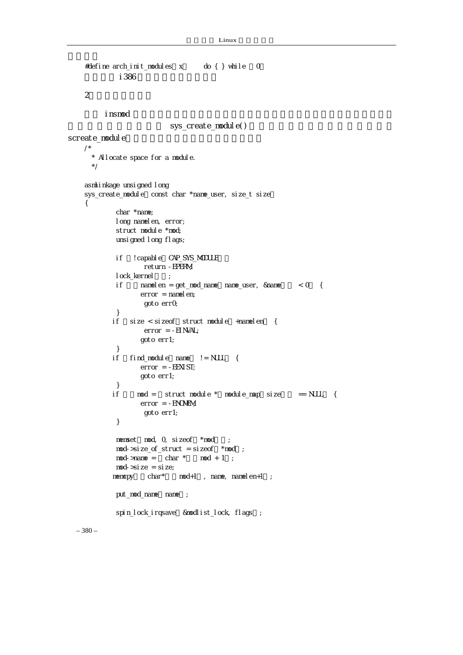```
– 380 – 
    #define arch_init_modules x do { } while 0
            i386
    2\blacksquare\blacksquare insmod \blacksquaresys_create_module()
screate_module
    /*
      * Allocate space for a module. 
       */ 
    asmlinkage unsigned I ong
    sys_create_module const char *name_user, size_t size
    { 
             char *name; 
            long namelen, error;
            struct module *mod;
             unsigned long flags; 
            if ! capable CAP_SYS_MODULE
                    return -EPERM; 
            lock_kernel;
            if n namelen = get_mod_name name_user, &name \leq 0 {
                  error = namelen; goto err0; 
             } 
           if size < sizeof struct module +namelen {
                    error = -EINVAL; 
                    goto err1; 
             } 
           if find_module name != NULL {
                  error = -EEXI ST; goto err1; 
             } 
           if mod = struct module * module_map size == NULL {
                  error = -ENOMM goto err1; 
             } 
            memset mod, 0, sizeof *mod;
            mod-\frac{1}{2} ze_of_struct = sizeof *mod;
            mod\rightarrow name = char * mod + 1;
            mod-\text{si ze} = \text{si ze};
           mencpy char* mod+1, name, namelen+1 ;
            put_mod_name name;
            spin_lock_irqsave &modlist_lock, flags;
```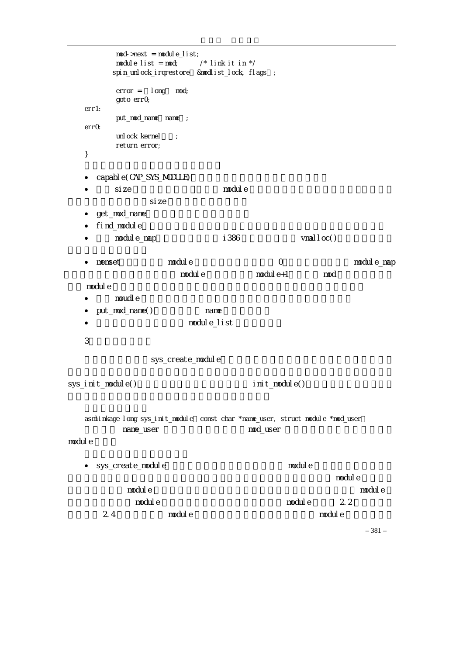```
– 381 – 
           mod\rightarrow next = module\botist;
           module_list = mod; \prime * link it in \primespin_unlock_irqrestore &modlist_lock, flags ;
           error = long mod;
            goto err0; 
   err1: 
           put_mod_name name;
   errOunl ock_kernel ;
            return error; 
   } 
   • capable(CAP_SYS_MODULE)
    • Size \sim module \simsize s• get_mod_name
    • find_module
    • module_map i386 vmalloc()
   • memset module \bullet module \bullet or \bullet module map
                          (nodule module+1 module module module+1)
\blacksquare module \blacksquare\bullet and moudle the state \bullet and \bullet and \bullet and \bullet and \bullet and \bullet and \bullet and \bullet and \bullet and \bullet and \bullet and \bullet and \bullet and \bullet and \bullet and \bullet and \bullet and \bullet and \bullet and \bullet and \bullet and \bullet a
   • put_mod_name() name \overline{\phantom{0}}• module_list
    3 \simsys_create_module
sys_init_module() and init_module()
   asmlinkage long sys_init_module const char *name_user, struct module *mod_user
            name_user hambook name_user hambook
module
   • sys_create_module
\blacksquare module \blacksquare\blacksquare module the matrix matrix \blacksquare module the module \blacksquare\blacksquare module \blacksquare and \blacksquare module the module \blacksquare 2.2 \blacksquare2.4 module \overline{c} module \overline{c}
```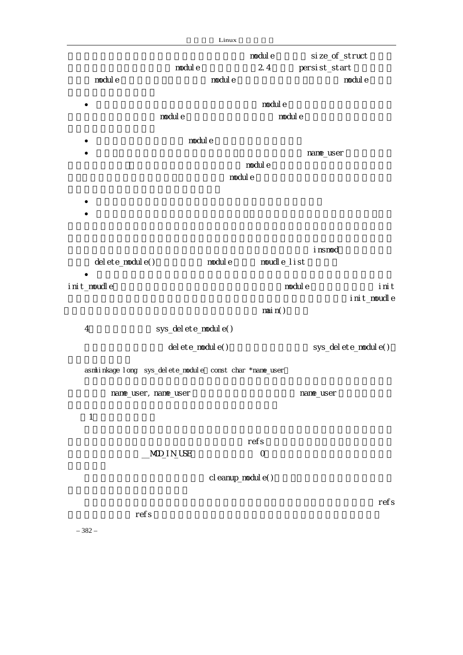|                   |                                                         | Linux              |                    |               |                       |
|-------------------|---------------------------------------------------------|--------------------|--------------------|---------------|-----------------------|
|                   |                                                         |                    | modul e            |               | si ze_of_struct       |
|                   | nodul e                                                 | nodul e            | 2.4                | persist_start |                       |
| nodul e           |                                                         |                    |                    |               | nodul e               |
|                   |                                                         |                    | nodul e            |               |                       |
|                   | nodul e                                                 |                    |                    | nodul e       |                       |
|                   |                                                         |                    |                    |               |                       |
|                   | modul e                                                 |                    |                    |               |                       |
|                   |                                                         |                    | nodul e            | nane_user     |                       |
|                   |                                                         | modul e            |                    |               |                       |
|                   |                                                         |                    |                    |               |                       |
|                   |                                                         |                    |                    |               |                       |
|                   |                                                         |                    |                    |               |                       |
|                   |                                                         |                    |                    |               |                       |
|                   |                                                         |                    |                    | i nsmod       |                       |
| del ete_modul e() |                                                         | nodul e            |                    | moudle_list   |                       |
|                   |                                                         |                    |                    |               |                       |
| i ni t_moudl e    |                                                         |                    |                    | nodul e       | init                  |
|                   |                                                         |                    |                    |               | i ni t_moudl e        |
|                   |                                                         |                    | $\text{mail } n()$ |               |                       |
| $\overline{4}$    | sys_del ete_modul e()                                   |                    |                    |               |                       |
|                   | del ete_modul e()                                       |                    |                    |               | sys_del ete_modul e() |
|                   |                                                         |                    |                    |               |                       |
|                   | asmlinkage long sys_delete_module const char *name_user |                    |                    |               |                       |
|                   | nane_user, nane_user                                    |                    |                    | nane_user     |                       |
|                   |                                                         |                    |                    |               |                       |
| $\mathbf{1}$      |                                                         |                    |                    |               |                       |
|                   |                                                         |                    |                    |               |                       |
|                   |                                                         |                    | refs               |               |                       |
|                   | MOD_IN_USE                                              |                    | $\mathcal{O}$      |               |                       |
|                   |                                                         | cl eanup_modul e() |                    |               |                       |
|                   |                                                         |                    |                    |               |                       |
|                   |                                                         |                    |                    |               | refs                  |
|                   | refs                                                    |                    |                    |               |                       |

– 382 –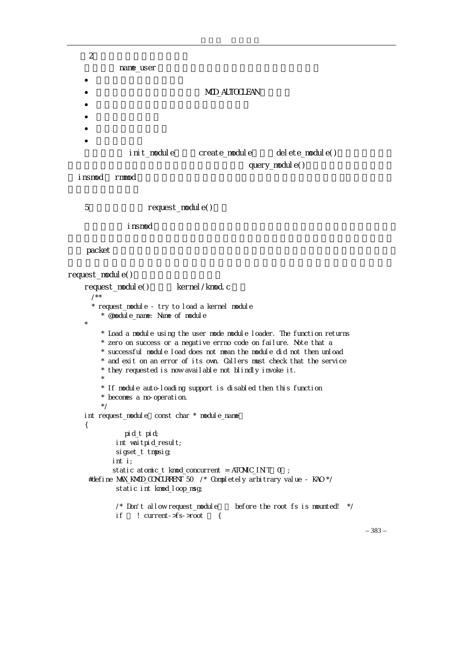```
2name_user
   • 不再被任何模块所依赖。 
                              MOD_AUTOCLEAN
   \bullet• 尚未被开始卸载。 
   \bullet• \blacksquareinit_module create_module delete_module()
                                         query_module()
\blacksquare insmode and rmmod
   5. The request_module()
   \blacksquare insmod \blacksquarepacketrequest_module()
   request_module()函数在 kernel/kmod.c 中: 
      /** 
      * request_module - try to load a kernel module 
        * @module_name: Name of module 
   * 
        * Load a module using the user mode module loader. The function returns 
        * zero on success or a negative errno code on failure. Note that a 
        * successful module load does not mean the module did not then unload 
        * and exit on an error of its own. Callers must check that the service 
        * they requested is now available not blindly invoke it. 
   \star * If module auto-loading support is disabled then this function 
        * becomes a no-operation. 
        */ 
   int request_module const char * module_name
   { 
             pid_t pid; 
           int waitpid_result; 
           sigset_t tmpsig; 
          int i; 
         static atomic_t kmod_concurrent = ATOMIC_INT 0 ;
     #define MAX_KMOD_CONCURRENT 50 /* Completely arbitrary value - KAO */ 
           static int kmod_loop_msg; 
          \prime* Don't allow request_module before the root fs is mounted! */
          if \t! curvent-<i>s</i>-<i>s</i> -<i>s</i> to t \t\t
```
– 383 –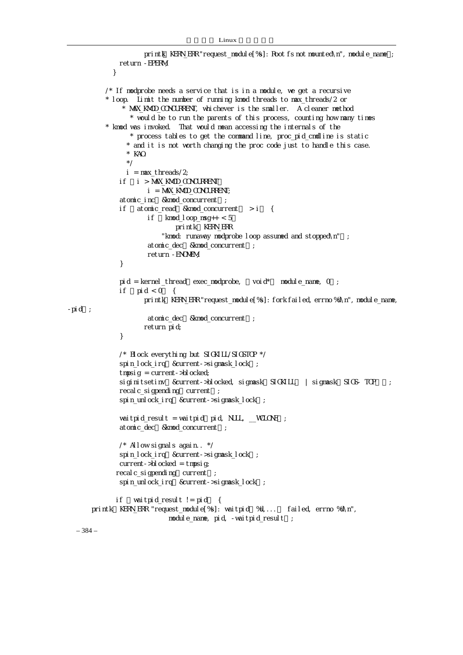```
printk KERN_ERR "request_module[%s]: Root fs not mounted\n", module_name ;
               return -EPERM; 
             } 
            /* If modprobe needs a service that is in a module, we get a recursive 
            * loop. Limit the number of running kmod threads to max_threads/2 or 
                 * MAX_KMOD_CONCURRENT, whichever is the smaller. A cleaner method 
                   * would be to run the parents of this process, counting how many times 
            * kmod was invoked. That would mean accessing the internals of the 
                  * process tables to get the command line, proc_pid_cmdline is static 
                  * and it is not worth changing the proc code just to handle this case. 
                  * KAO. 
                  */ 
                i = max threads/2;
               if (i > MAX_KMOD_CONCURRENT) 
                        i = MAX_KMOD_CONCURRENT; 
               atomic_inc &kmod_concurrent ;
              if atomic_read &kmod_concurrent > i {
                       if km\texttt{od} loop msq++ < 5printk KERN_ERR
                            "kmod: runaway modprobe loop assumed and stopped\n"); 
                       atomic_dec &kmod_concurrent;
                        return -ENOMEM; 
                } 
               pid = kernel_thread exec_modprobe, void* module_name, 0;
              if pid < 0 {
                      printk KERN_ERR "request_module[%s]: fork failed, errno %d\n", module_name,
-pi d;
                       atomic_dec &kmod_concurrent ;
                       return pid; 
                } 
               /* Block everything but SIGKILL/SIGSTOP */
               spin_lock_irq &current->sigmask_lock ;
               tmpsig = current->blocked;
               siginitsetinv & current->blocked, sigmask SIGKILL | sigmask SIGS- TOP ;
               recalc sigpending current :
               spin_unlock_irq &current->sigmask_lock;
               waitpid_result = waitpid pid, NULL, \angleWCLONE ;
               atomic_dec &kmod_concurrent;
               \frac{\prime}{\sqrt{2}} Allow signals again. \frac{\prime}{\sqrt{2}}spin_lock_irq & current->sigmask_lock;
               current->blocked = tmpsig;
              recal c_si gpending current ;
              spin_unlock_irq &current->sigmask_lock;
             if vaitpid_result != pid {
      printk KERN_ERR "request_module[%s]: waitpid %d,... failed, errno %d\n",
                              module_name, pid, -waitpid_result);
```

```
– 384 –
```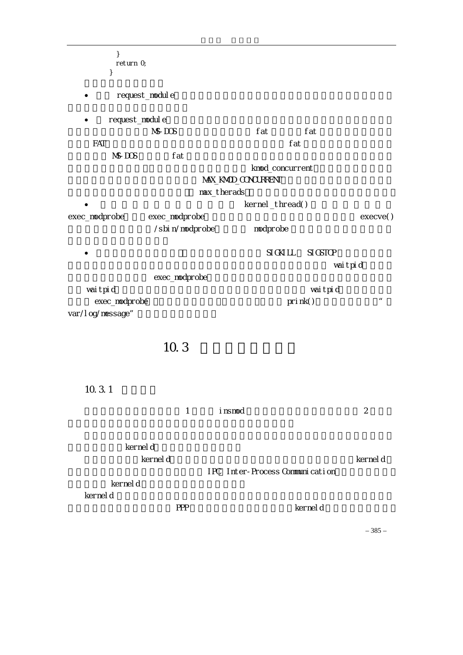| return O       |                                                                                                                 |                                                                                                                                                                                |
|----------------|-----------------------------------------------------------------------------------------------------------------|--------------------------------------------------------------------------------------------------------------------------------------------------------------------------------|
|                |                                                                                                                 |                                                                                                                                                                                |
| request_module |                                                                                                                 |                                                                                                                                                                                |
| request_module |                                                                                                                 |                                                                                                                                                                                |
| $N\$ - $DOS$   | fat<br>fat                                                                                                      |                                                                                                                                                                                |
|                |                                                                                                                 |                                                                                                                                                                                |
|                |                                                                                                                 |                                                                                                                                                                                |
|                |                                                                                                                 |                                                                                                                                                                                |
|                |                                                                                                                 |                                                                                                                                                                                |
|                |                                                                                                                 |                                                                                                                                                                                |
|                |                                                                                                                 | execve()                                                                                                                                                                       |
|                |                                                                                                                 |                                                                                                                                                                                |
|                | SI GKI LL<br>SI GSTOP                                                                                           |                                                                                                                                                                                |
|                |                                                                                                                 | wai tpi d                                                                                                                                                                      |
|                |                                                                                                                 |                                                                                                                                                                                |
| exec_modprobe  |                                                                                                                 | $\pmb{\mathit{u}}$                                                                                                                                                             |
|                |                                                                                                                 |                                                                                                                                                                                |
|                |                                                                                                                 |                                                                                                                                                                                |
|                |                                                                                                                 |                                                                                                                                                                                |
|                |                                                                                                                 |                                                                                                                                                                                |
|                |                                                                                                                 |                                                                                                                                                                                |
|                |                                                                                                                 |                                                                                                                                                                                |
|                |                                                                                                                 | $\overline{2}$                                                                                                                                                                 |
|                |                                                                                                                 |                                                                                                                                                                                |
|                |                                                                                                                 |                                                                                                                                                                                |
|                |                                                                                                                 | kernel d                                                                                                                                                                       |
|                |                                                                                                                 |                                                                                                                                                                                |
|                |                                                                                                                 |                                                                                                                                                                                |
|                |                                                                                                                 |                                                                                                                                                                                |
|                |                                                                                                                 |                                                                                                                                                                                |
|                |                                                                                                                 | $-385-$                                                                                                                                                                        |
|                | fat<br>exec_modprobe<br>/sbi n/modprobe<br>exec_modprobe<br>10.3<br>$\mathbf{1}$<br>kernel d<br>kernel d<br>PPP | fat<br>knod_concurrent<br>MAX_KMOD_CONCURRENT<br>max_therads<br>kernel_thread()<br>modpr obe<br>wai tpi d<br>prink()<br>i nsmod<br>IPC Inter-Process Communication<br>kernel d |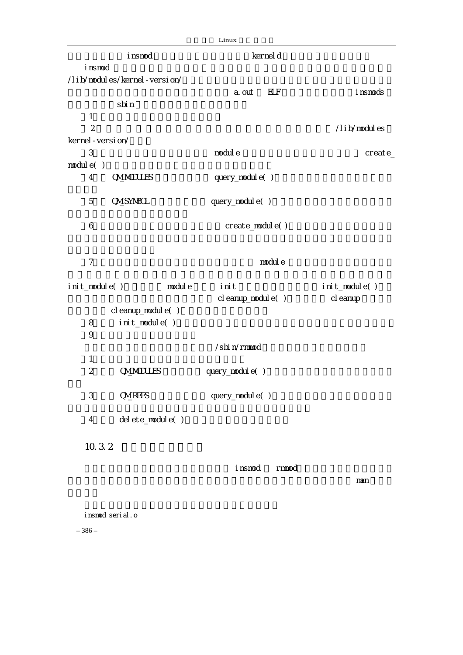|                           |                              | Linux                |               |
|---------------------------|------------------------------|----------------------|---------------|
|                           | i nsmod                      | kernel d             |               |
| i nsmod                   |                              |                      |               |
|                           | /lib/modules/kernel-version/ |                      |               |
|                           |                              | <b>ELF</b><br>a. out | i nsmods      |
|                           | sbi n                        |                      |               |
| $\mathbf{1}$              |                              |                      |               |
| $\overline{2}$            |                              |                      | /lib/modules  |
| kernel - versi on/        |                              |                      |               |
| 3                         |                              | modul e              | create_       |
| module( )                 |                              |                      |               |
| $\overline{4}$            | <b>CM_MODULES</b>            | query_nodul e()      |               |
| 5                         | <b>CIVILSYMBOL</b>           | query_modul e()      |               |
| 6                         |                              | create_module()      |               |
| $\overline{7}$            |                              | nodul e              |               |
| init_module()             | nodul e                      | init                 | init_module() |
|                           |                              | cl eanup_modul e()   | cl eanup      |
|                           | cl eanup_modul e()           |                      |               |
| 8                         | init_module()                |                      |               |
| 9                         |                              |                      |               |
|                           |                              | /sbi n/rmmod         |               |
| $\mathbf{1}$              |                              |                      |               |
| $\overline{2}$            | <b>CM_MODULES</b>            | query_nodul e()      |               |
| $\ensuremath{\mathsf{3}}$ | <b>CM_REFS</b>               | query_modul e()      |               |
| $\overline{4}$            | del ete_modul e()            |                      |               |
| 10.3.2                    |                              |                      |               |
|                           |                              |                      |               |
|                           |                              | i nsmod<br>r mmod    |               |
|                           |                              |                      | man           |
|                           |                              |                      |               |
|                           |                              |                      |               |
|                           | insmod serial.o              |                      |               |

– 386 –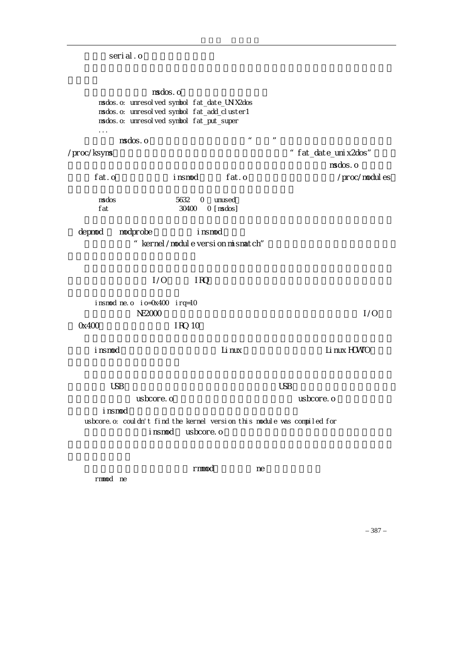serial.o

msdos.o msdos.o: unresolved symbol fat\_date\_UNIX2dos msdos.o: unresolved symbol fat\_add\_cluster1 msdos.o: unresolved symbol fat\_put\_super ...  $\overline{\text{nsdos. o}}$  is a model of  $\overline{\text{nsds}}$  or  $\overline{\text{nsds}}$ /proc/ksyms,从中就可以发现内核移出的所有符号,但找不到"fat\_date\_unix2dos"符号。  $msd$  os  $\sim$   $msd$  os  $\sim$   $0$ fat.o insmod fat.o /proc/modules msdos 5632 0 unused fat 30400 0 [msdos] depmod modprobe insmod " kernel/module version mismatch"  $1/O$  IRQ,  $1/OP$  insmod ne.o io=0x400 irq=10  $NE2000$   $1/0$ 0x400 RQ 10 insmod Linux Linux Linux Linux HOWTO  $\cup$ SB  $\cup$ SB  $\cup$ SB  $\cup$ SB  $\cup$ SB  $\cup$ SB  $\cup$ SB  $\cup$ SB  $\cup$ SB  $\cup$ SB  $\cup$ SB  $\cup$ SB  $\cup$ SB  $\cup$ SB  $\cup$ SB  $\cup$ SB  $\cup$ SB  $\cup$ SB  $\cup$ SB  $\cup$ SB  $\cup$ SB  $\cup$ SB  $\cup$ SB  $\cup$ SB  $\cup$ SB  $\cup$ SB  $\cup$ SB  $\cup$ SB  $\cup$ SB  $\cup$ SB  $\cup$ SB  $\cup$ 该模块的文件名是 usbcore.o,这看起来与可装入模块的文件名 usbcore.o 完全一样,但是  $i$  nsmod  $i$ usbcore.o: couldn't find the kernel version this module was compiled for insmod usbcore.o rmmod, and the research research research in the second research in the second research in the second research in the second research in the second research in the second research in the second research in the second resea rmmod ne

– 387 –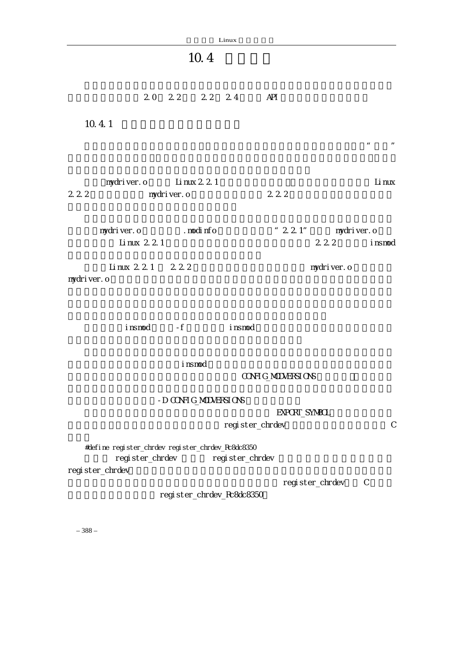| Linux                                                                                                       |                                          |
|-------------------------------------------------------------------------------------------------------------|------------------------------------------|
| 10.4                                                                                                        |                                          |
| 20 22 22 24                                                                                                 | API                                      |
| 10.4.1                                                                                                      |                                          |
|                                                                                                             | $\pmb{\mu}$<br>$\overline{u}$            |
| mydriver.o Linux 2 2 1<br>222<br>nydriver.o                                                                 | Li nux<br>222                            |
|                                                                                                             |                                          |
| mydriver.o<br>modinfo<br>Li nux 2 2 1                                                                       | " $2 2 1"$ mydriver. o<br>222<br>i nsmod |
| Linux 221 222                                                                                               | mydriver.o                               |
| mydri ver. o                                                                                                |                                          |
| insmod - f insmod                                                                                           |                                          |
| i nsmod                                                                                                     |                                          |
|                                                                                                             | CONFIG_MODVERSIONS                       |
| - D CONFIG_MODVERSIONS                                                                                      | EXPORT_SYMBOL                            |
| register_chrdev                                                                                             | $\mathsf{C}$                             |
| #define register_chrdev register_chrdev_Rc8dc8350<br>register_chrdev<br>register_chrdev<br>regi ster_chrdev |                                          |
| register_chrdev_Rc8dc8350                                                                                   | register_chrdev<br>$\mathsf{C}$          |
|                                                                                                             |                                          |

– 388 –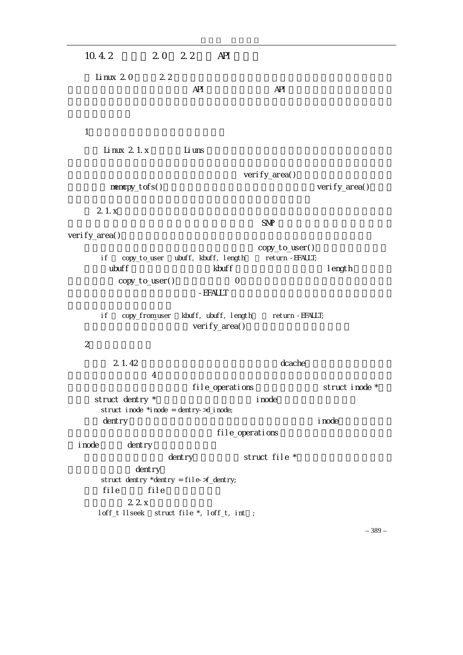| 10.4.2                                                                                                         | 20 22             | API                                                               |                                                             |                 |
|----------------------------------------------------------------------------------------------------------------|-------------------|-------------------------------------------------------------------|-------------------------------------------------------------|-----------------|
| Linux 20                                                                                                       | 2 <sub>2</sub>    | <b>API</b>                                                        | <b>API</b>                                                  |                 |
| 1                                                                                                              |                   |                                                                   |                                                             |                 |
| Li nux 2 1. x                                                                                                  |                   | Li uns                                                            |                                                             |                 |
| $memory_t$ of s()                                                                                              |                   |                                                                   | verify_area()                                               | verify_area()   |
| 21.x                                                                                                           |                   |                                                                   | <b>SNP</b>                                                  |                 |
| verify_area()                                                                                                  |                   |                                                                   |                                                             |                 |
| copy_to_user<br>i f<br>ubuff<br>copy_to_user()<br>i f<br>copy_from_user                                        |                   | ubuff, kbuff, length<br>kbuff<br>- EFAULT<br>kbuff, ubuff, length | copy_to_user()<br>return - EFAULT;<br>0<br>return - EFAULT; | I ength         |
| $\overline{2}$                                                                                                 |                   | verify_area()                                                     |                                                             |                 |
| 2 1.42                                                                                                         | $\overline{4}$    |                                                                   | dcache                                                      |                 |
|                                                                                                                |                   | file_operations                                                   |                                                             | struct i node * |
| struct dentry *<br>struct i node *i node = dentry->d_i node;<br>$d$ entry                                      |                   |                                                                   | i node<br>file_operations                                   | i node          |
| i node<br>$d$ entry                                                                                            |                   |                                                                   |                                                             |                 |
| dentry<br>struct dentry *dentry = file->f_dentry;<br>file<br>22x<br>loff_t llseek struct file *, loff_t, int ; | $d$ entry<br>file |                                                                   | struct file *                                               |                 |

– 389 –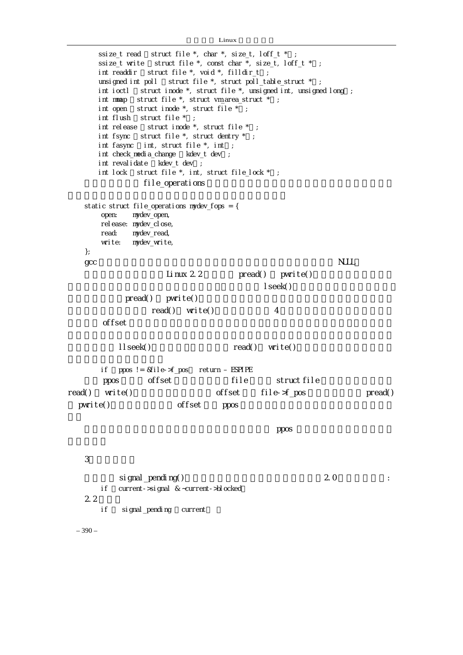```
Linux
```

```
ssize_t read struct file *, char *, size_t, loff_t *;
     ssize_t write struct file *, const char *, size_t, loff_t *;
     int readdir struct file *, void *, filldir_t ;
     unsigned int poll struct file *, struct poll_table_struct *;
     int ioctl struct inode *, struct file *, unsigned int, unsigned long;
     int mmap struct file *, struct vm_area_struct *;
   int open \, struct inode ^*, struct file ^* ;
   int flush struct file *;
     int release struct inode *, struct file *;
     int fsync struct file *, struct dentry * ;
     int fasync int, struct file *, int ;
     int check_media_change kdev_t dev;
     int revalidate kdev_t dev ;
     int lock struct file *, int, struct file_lock *;
               file_operations
   static struct file_operations mydev_fops = { 
       open: mydev_open, 
      rel ease: mydev_close,
       read: mydev_read, 
       write: mydev_write, 
   }; 
   \rm qcc MULL
                   Linux 2.2 pread() pwrite()
\blacksquare seek()
           \text{pred}() \quad \text{pwi} \text{ite}()read() write() 4
\alpha of fset \alphallseek() read() write()
       if (ppos != &file->f_pos) return –ESPIPE 
      ppos offset file struct file
read() write()          offset file->f_pos       pread()
 pwrite() offset ppos
   \mathsf{ppos}3.信号的处理 
          \sin gnal _pending() \sin 2.0 \sinif current->signal & ~current->blocked
   2.2if signal_pending current
```
– 390 –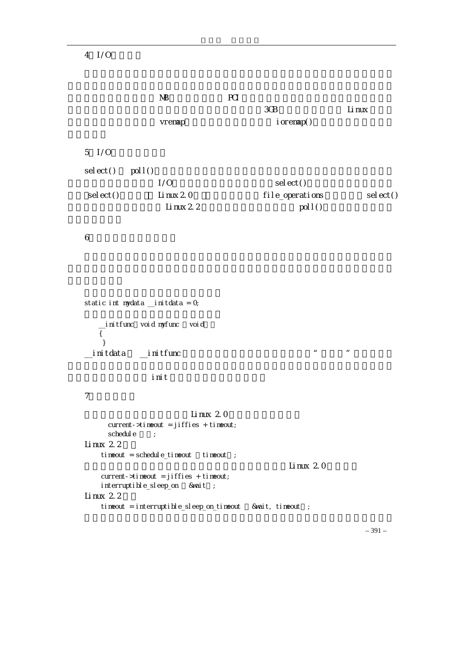## $4$   $1/0$

|                   | МB          | PCI |                 |             |
|-------------------|-------------|-----|-----------------|-------------|
|                   |             |     | 3GB             | Li nux      |
|                   | vremap      |     | $i$ or emap()   |             |
|                   |             |     |                 |             |
| $5 \frac{\pi}{9}$ |             |     |                 |             |
| sel ect()         | pol( )      |     |                 |             |
|                   | 1/0         |     | sel $ect()$     |             |
| sel ect()         | Li nux $20$ |     | file_operations | sel $ect()$ |
|                   | Li nux $22$ |     | pol( )          |             |
|                   |             |     |                 |             |

 $6\,$ 

```
static int mydata \Boxinitdata = 0;
       __initfunc(void myfunc (void)) 
       { 
        } 
   \Boxinitdata \Boxinitfunc ''\mathbf i init \mathbf i7.定时的设定 
                            Linux 2.0
         current->timeout = jiffies + timeout; 
        schedule ;
   Li nux 22
       tineout = schedule_tineout tineout;
                                                   Linux 2.0
        current->timeout = jiffies + timeout; 
       interruptible_sleep_on &wait ;
   Linux 22
       timeout = interruptible_sleep_on_timeout &wait, timeout ;
```
– 391 –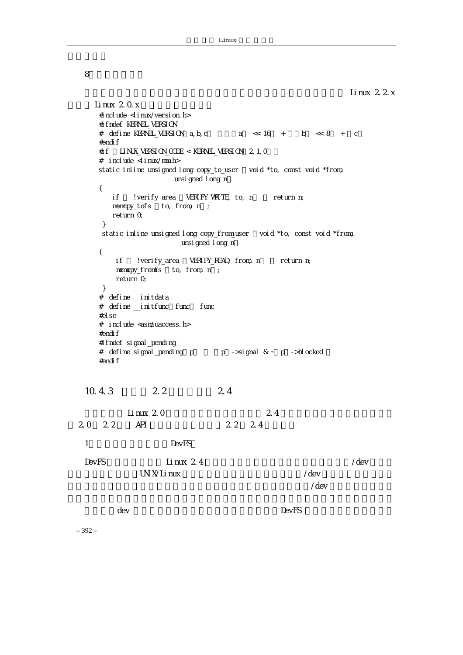linux 2.2 x

8.向后兼容的宏

```
Linux 2.0x#include < inux/version.h>
     #i fndef KERNEL VERSION
     # define KERNEL_VERSION a, b, c a \ll 16 + b \ll 8 + c #endif 
     #if LI NUX_VERSI ON_CODE < KERNEL_VERSI ON 2, 1, 0 # include <linux/mm.h> 
     static inline unsigned long copy_to_user void *to, const void *from,
                     unsigned I ong n
      { 
        if !verify_area VERIFY_VRITE, to, n return n;
        memcpy_tofs to, from, n ;
         return 0; 
       } 
      static inline unsigned long copy_from_user void *to, const void *from,
                       unsigned long n) 
      { 
         if !verify_area VERIFY_READ, from, n return n;
         memcpy_fromfs to, from, n ;
          return 0; 
       } 
       # define __initdata 
      # define __initfunc func func
      #else 
      # include <asm/uaccess.h> 
     #endif
      #ifndef signal_pending 
     # define signal pending p p ->signal \& \sim p ->blocked
     #endif
   10.4.3 2.2 2.4
           Linux 2.0 2.42.0 2.2 API 2.2 2.4
   1 DevFS
   DevFS Linux 2.4 \blacksquareUNX/Iinux /dev
\sqrt{\rm dev}\alpha dev \alpha and \alpha is the contract of the DevFS \alpha
```
– 392 –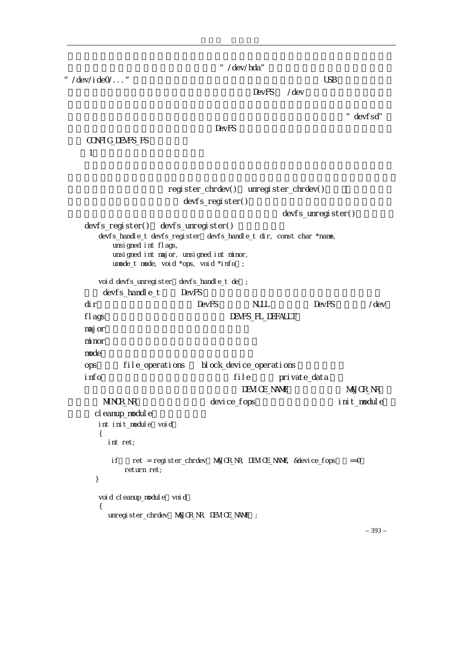" /dev/hda"

"/dev/ide0/..." USB

DevFS /dev

" devfsd"

 $\mathsf{DevFS}$ 

CONFIG\_DEVFS\_FS

 $(1)$ 

|                                         | register_chrdev() unregister_chrdev()<br>devfs_register()                                                                                                                     |                            |                        |                      |
|-----------------------------------------|-------------------------------------------------------------------------------------------------------------------------------------------------------------------------------|----------------------------|------------------------|----------------------|
|                                         |                                                                                                                                                                               |                            | $devfs\_unregi ster()$ |                      |
| devfs_register()<br>unsigned int flags, | devfs_unregister()<br>devfs_handle_t devfs_register devfs_handle_t dir, const char *name,<br>unsigned int major, unsigned int minor,<br>unode_t node, void *ops, void *info ; |                            |                        |                      |
| devfs_handle_t                          | void devfs_unregister devfs_handle_t de ;<br><b>DevFS</b>                                                                                                                     |                            |                        |                      |
| di r                                    | <b>DevFS</b>                                                                                                                                                                  | NJLL.                      | DevFS                  | /dev                 |
| f lags                                  |                                                                                                                                                                               | DEVFS_FL_DEFAULT           |                        |                      |
| maj or                                  |                                                                                                                                                                               |                            |                        |                      |
| mi nor                                  |                                                                                                                                                                               |                            |                        |                      |
| mode                                    |                                                                                                                                                                               |                            |                        |                      |
| file_operations<br><b>ODS</b>           |                                                                                                                                                                               | bl ock_devi ce_operati ons |                        |                      |
| i nfo                                   |                                                                                                                                                                               | file                       | private_data           |                      |
|                                         |                                                                                                                                                                               | DEVI CE_NAME               |                        | MAJOR <sub>N</sub> R |
| MINOR_NR                                | devi ce_fops                                                                                                                                                                  |                            |                        | init_module          |
| cl eanup_modul e                        |                                                                                                                                                                               |                            |                        |                      |
| int init_module void                    |                                                                                                                                                                               |                            |                        |                      |
| €<br>int ret:                           |                                                                                                                                                                               |                            |                        |                      |
| i f<br>return ret;<br>}                 |                                                                                                                                                                               |                            |                        | $=0$                 |
| voi d cl eanup_modul e voi d<br>₹       |                                                                                                                                                                               |                            |                        |                      |
|                                         | unregister_chrdev MAJOR_NR, DEVICE_NAME                                                                                                                                       | $\frac{1}{2}$              |                        |                      |

– 393 –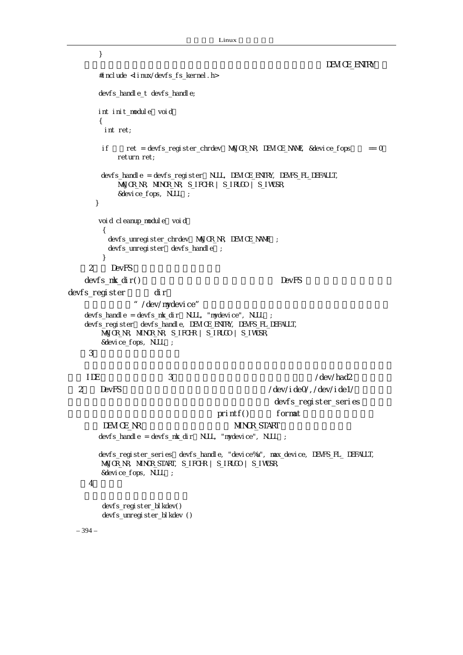```
– 394 – 
        } 
                                                                 DEVICE_ENTRY
       #include \leq inux/devfs fs kernel.h>
        devfs_handle_t devfs_handle; 
       int init_module void
        { 
          int ret; 
        if ret = devfs_register_chrdev MAJOR_NR, DEVICE_NAME, &device_fops == 0
             return ret; 
        devfs_handle = devfs_register NULL, DEVICE_ENTRY, DEVFS_FL_DEFAULT,
             MAJOR_NR, MINOR_NR, S_IFCHR | S_IRUGO | S_IWUSR, 
             &device_fops, NULL); 
       } 
       voi d cl eanup_modul e voi d
         { 
          devfs_unregister_chrdev(MAJOR_NR, DEVICE_NAME); 
         devfs_unregister devfs_handle;
         } 
     2 DevFS
   devfs_mk_dir() DevFS
devfs_register dir
                " /dev/mydevice"
   devfs_handle = devfs_nk_dir NULL, "nydevice", NULL ;
   devfs_register devfs_handle, DEVICE_ENTRY, DEVFS_FL_DEFAULT,
         MAJOR_NR, MINOR_NR, S_IFCHR | S_IRUGO | S_IWUSR, 
         &device_fops, NULL); 
   \overline{\mathbf{3}}如主 IDE 硬盘的主设备号为 3,但其每个分区都有一个从设备号,例如/dev/had2 的从设备号
  2 DevFS 2 DevFS 2 DevFS 2 DevFS
                                                    devfs_reqister_series
                                     print() format
        DEVICENR MINOR START
       devfs_handle = devfs_mk_dir NULL, "mydevice", NULL ;
       devfs_register_series devfs_handle, "device%u", max_device, DEVFS_FL_ DEFAULT,
         MAJOR_NR, MINOR_START, S_IFCHR | S_IRUGO | S_IWUSR, 
         &device_fops, NULL); 
     \overline{4}devfs_register_blkdev()
        devfs_unregister_blkdev ()
```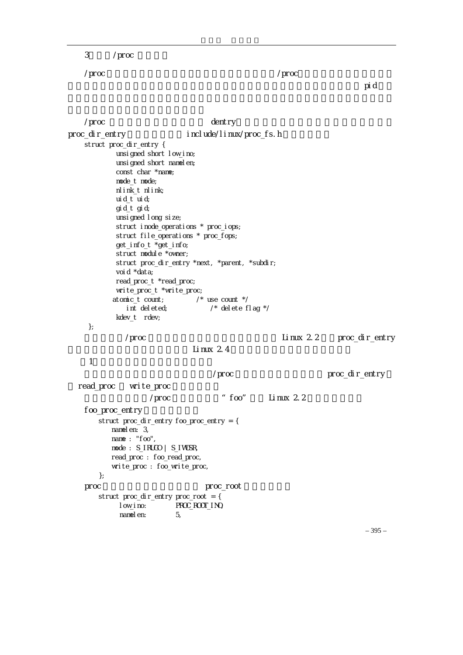3 /proc

/proc 是一个特殊的文件系统,其安装点一般都固定为/proc。这个文件系统中所有的文

 $\mathbf p$  defined the control of the control of the state  $\mathbf p$  pid  $\mathbf d$ 

 $\gamma$ proc  $\alpha$  . The dentry,  $\alpha$ proc\_dir\_entry include/linux/proc\_fs.h struct proc\_dir\_entry { unsigned short low\_ino; unsi gned short namel en; const char \*name; mode\_t mode; nlink\_t nlink; uid\_t uid; gid\_t gid; unsigned long size; struct inode\_operations \* proc\_iops; struct file\_operations \* proc\_fops; get\_info\_t \*get\_info; struct module \*owner; struct proc\_dir\_entry \*next, \*parent, \*subdir; voi d \*data; read\_proc\_t \*read\_proc; write\_proc\_t \*write\_proc; atomic\_t count; /\* use count \*/ int deleted; /\* delete flag \*/ kdev\_t rdev; }; /proc Linux 2.2 proc\_dir\_entry Linux  $2.4$  $\sim$  1 /proc  $\blacksquare$ proc\_dir\_entry read\_proc write\_proc /proc \* foo", Linux 2.2 foo\_proc\_entry struct proc\_dir\_entry foo\_proc\_entry = { namelen: 3, name : "foo", mode: S\_IRUGO | S\_IWUSR, read\_proc : foo\_read\_proc, write\_proc : foo\_write\_proc, }; proc proc\_root contracts and proc\_root of the proc\_root of  $\mathbb{R}^n$  struct proc\_dir\_entry proc\_root = { low\_ino: PROC\_ROOT\_INO, namelen: 5,

– 395 –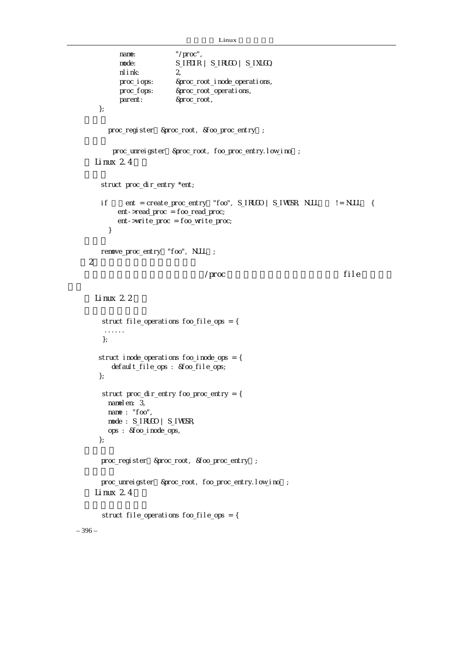```
Linux
```

```
– 396 – 
           name: "/proc",
            mode: S_IFDIR | S_IRUGO | S_IXUGO, 
           nlink: 2, 
            proc_iops: &proc_root_inode_operations, 
           proc_fops: &proc_root_operations, 
            parent: &proc_root, 
      }; 
        proc_register &proc_root, &foo_proc_entry ;
         proc_unreigster &proc_root, foo_proc_entry.low_ino ;
    Linux 2.4 struct proc_dir_entry *ent; 
      if ent = create_proc_entry "foo", S_IRUGO | S_IWUSR, NULL \{ ent->read_proc = foo_read_proc; 
           ent->write_proc = foo_write_proc; 
        } 
      remove_proc_entry "foo", NULL ;
 2\sqrt{p\mathsf{roc}} file
    Linux 22
       struct file_operations foo_file_ops = { 
        ...... 
       }; 
      struct inode_operations foo_inode_ops = { 
         default_file_ops : &foo_file_ops; 
      }; 
       struct proc_dir_entry foo_proc_entry = { 
       namelen: 3,
        name : "foo", 
        mode : S_IRUGO | S_IWUSR, 
        ops : &foo_inode_ops, 
      }; 
      proc_register &proc_root, &foo_proc_entry ;
      proc_unreigster &proc_root, foo_proc_entry.low_ino ;
    \lim_{x \to 2} 2.4 struct file_operations foo_file_ops = {
```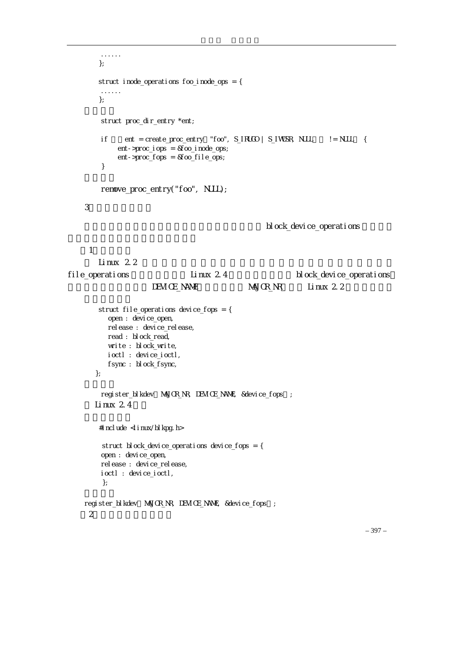```
 ...... 
        }; 
         struct inode_operations foo_inode_ops = { 
         ...... 
         }; 
         struct proc_dir_entry *ent; 
        if ent = create_proc_entry "foo", S_IRUGO | S_IWUSR, NULL != NULL {
              ent->proc_iops = &foo_inode_ops; 
              ent->proc_fops = &foo_file_ops; 
         } 
         remove_proc_entry("foo", NULL); 
    3 \simblock_device_operations
   \sim 100 \sim 100 \simLinux 2.2file_operations Linux 2.4 hock_device_operations
                      DEVICE_NAME, MAJOR_NR, Linux 2.2
         struct file_operations device_fops = { 
          open : devi ce_open,
          rel ease : devi ce_rel ease,
           read : block_read, 
           write : block_write, 
           ioctl : device_ioctl, 
           fsync : block_fsync, 
        }; 
        register_blkdev MAJOR_NR, DEVICE_NAME, &device_fops ;
       Linux 2.4#i ncl ude \langle i nux/bl kpg. h>
         struct block_device_operations device_fops = { 
        open : devi ce_open,
        rel ease : devi ce_rel ease,
         ioctl : device_ioctl, 
         }; 
    register_blkdev MAJOR_NR, DEVICE_NAME, &device_fops ;
   2
```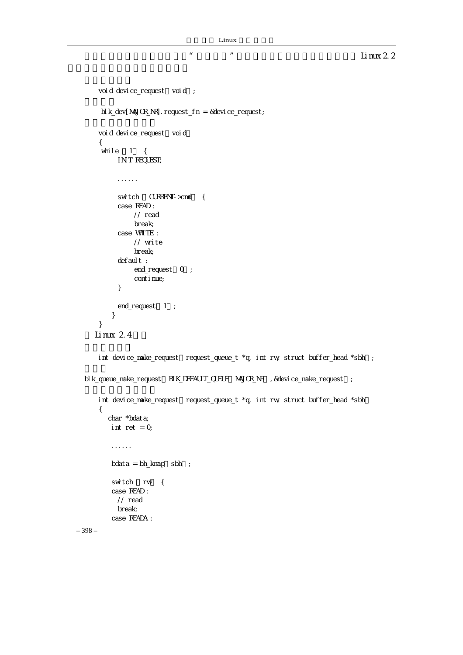```
– 398 – 
      void device_request void;
       bl k_dev[MAJOR_NR].request_fn = &device_request;
      void device_request void
       { 
       while 1\{IN T_REQUEST;
            ...... 
            switch CURRENT->cmd {
             case READ : 
                 // read 
                 break; 
             case WRITE : 
                 // write 
                 break; 
            default :
                end_request 0;
                continue;
             } 
           end_request 1 ;
           } 
       } 
     Linux 2.4int device_make_request request_queue_t *q, int rw, struct buffer_head *sbh ;
  blk_queue_make_request BLK_DEFAULT_QUEUE NAJOR_NR , &device_make_request ;
      int device_make_request request_queue_t *q, int rw, struct buffer_head *sbh
       { 
          char *bdata; 
         int ret = 0;
           ...... 
          bdata = bh_Kmap sbh;
          switch rw {
           case READ : 
            // read 
            break; 
           case READA :
```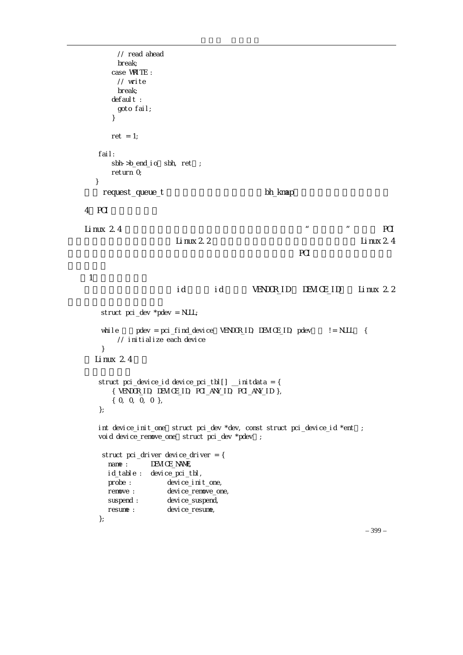```
 // read ahead 
            break; 
          case WRITE : 
            // write 
           break; 
         default :
            goto fail; 
          } 
         ret = 1;
       fail: 
         sbh->b_end_io sbh, ret ;
          return 0; 
      } 
       nequest_queue_t the state of the bh_kmap
   4 PCI
   Linux 2.4 \blacksquareLi nux 2.2 Li nux 2.4
PCI \sim PCI \sim PCI \sim PCI \sim PCI \sim\sim 1
                        id id VENDOR_ID DEVICE_ID, Linux 2.2
        struct pci_dev *pdev = NULL; 
       while pdev = pci_find_device VENDOR_ID, DEVICE_ID, pdev != NULL {
           // initialize each device 
        } 
     Linux 2.4struct pci_device_id device_pci_tbl[] \quad initdata = {
          { VENDOR_ID, DEVICE_ID, PCI_ANY_ID, PCI_ANY_ID }, 
          { 0, 0, 0, 0 }, 
       }; 
      int device_init_one struct pci_dev *dev, const struct pci_device_id *ent ;
      void device_remove_one struct pci_dev *pdev ;
        struct pci_driver device_driver = { 
        name : DEVICE_NAME,
         id_table : device_pci_tbl, 
        probe : device init one,
         remove : device_remove_one, 
        suspend : device_suspend,
        resume : device_resume,
       };
```
– 399 –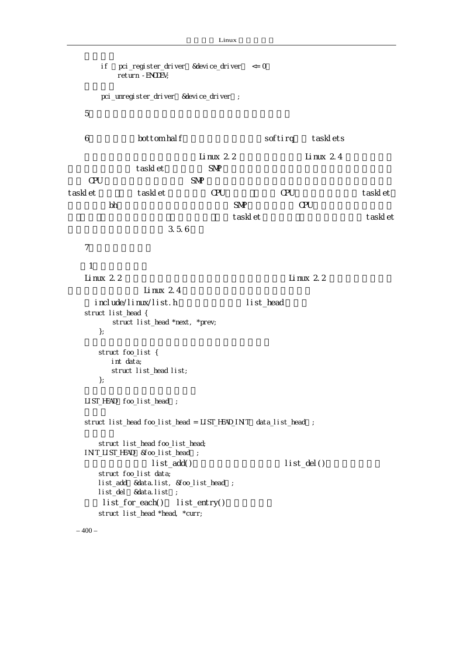```
-400-if pci_register_driver &device_driver <= 0
         return -ENODEV; 
     pci_unregister_driver &device_driver ;
  56. bottom half softirq tasklets
                      Linux 2.2 Linux 2.4
tasklet SNP 2009 - SNP
CPU SNPtasklet tasklet CPU CPU tasklet tasklet
\mathsf{b}h encomposition , encomposition , \mathsf{SNR} the CPU \mathsf{C}PU \mathsf{C}\text{taskl et} tasklet tasklet tasklet
                 3.5.6
  7\,\mathbf 1Linux 2.2 \qquad \qquadLinux 2.4include/linux/list.h h ist_head
  struct list_head { 
        struct list_head *next, *prev; 
      }; 
      struct foo_list { 
        int data; 
       struct list head list;
      }; 
  LIST_HEAD foo_list_head ;
  struct list_head foo_list_head = LIST_HEAD_INT data_list_head ;
      struct list_head foo_list_head; 
  INIT_LIST_HEAD &foo_list_head ;
              list\_add() list_del()
      struct foo_list data; 
     list_add &data.list, &foo_list_head ;
     list_del &data.list ;
     list_for\_each() list</u> struct list_head *head, *curr;
```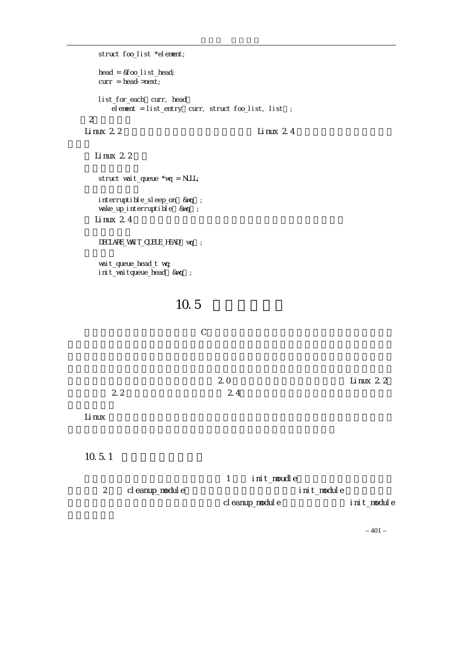```
 struct foo_list *element; 
     head = &foo_list_head;
     curr = head - snext;list_for_each curr, head
       element = list_entry curr, struct foo_list, list ;
   (2)等待队列 
  Linux 2.2 \qquad \qquad Linux 2.4
    Linux 2.2 struct wait_queue *wq = NULL; 
     interruptible_sleep_on &wq ;
     wake_up_interruptible &wq;
    Linux 2.4DECLARE_WAIT_CUEUE_HEAD voq ;
      wait_queue_head_t wq; 
     init_waitqueue_head &wq;
                   10.5
  C注意内核的版本号,如果你的模块是基于 2.0 版本编写的,你可能希望移植到 Linux 2.2;
2.2 2.4Linux 的内核是非常庞大的,但作为一个编程者,你应当至少读一些内核的源文件并弄
  10.5.11 init_moudle
      2 Cleanup_module init_module
                           cleanup_module init_module
```
 $-401-$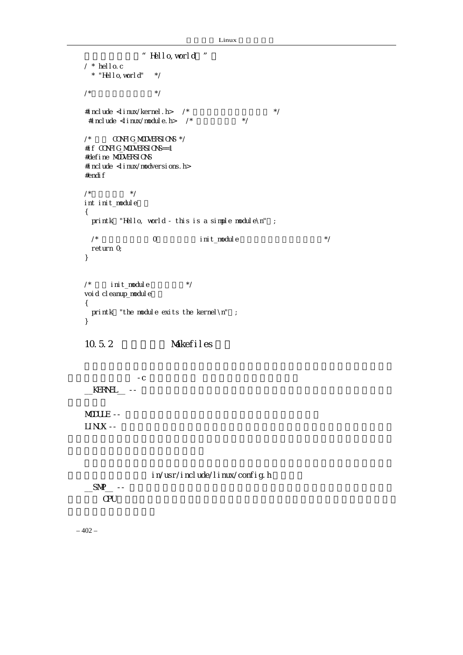```
Linux
```

```
下面看一个例子"Hello,world!"。 
   / * hello.c 
    * "Hello, world" *//* */
   #include \langle inux/kernel.h> /* \frac{1}{\sqrt{2}} */
    #include \langle inux/module.h> /* \angle */
   \frac{1}{2} \alpha \alpha \alpha \beta \beta \beta \beta \beta \beta \gamma#if CONFIG_MODVERSIONS==1 
   #define MODVERSIONS 
   #include <linux/modversions.h> 
   #endif
   \frac{1}{\sqrt{2}} */
   int init_module() 
   { 
    printk "Hello, world - this is a simple module\n";
    \gamma^* 0, init_module \gamma return 0; 
   } 
   \frac{1}{2} init_module \frac{1}{2} \frac{1}{2} \frac{1}{2} \frac{1}{2}voi d cl eanup_modul e
   { 
    printk "the module exits the kernel \infty";
   } 
   10.5.2 Makefiles
-C__KERNEL__ --
   MODULE --
   LI NUX -in/usr/include/linux/config.h
   \frac{SMP_{\text{max}}}{SMP_{\text{max}}}CPU \rightarrow
```
 $-402-$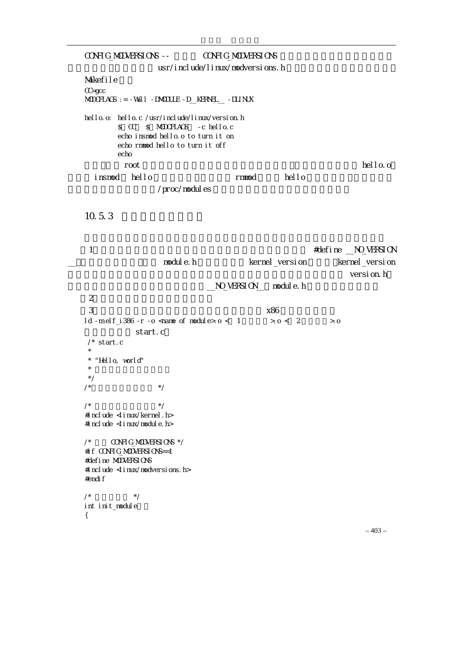CONFIG\_MODVERSIONS -- CONFIG\_MODVERSIONS usr/include/linux/modversions.h Makefile CC=gcc MODCFLAGS := -Wall -DMODULE -D\_\_KERNEL\_\_ -DLINUX hello.o: hello.c /usr/include/linux/version.h \$(CC) \$(MODCFLAGS) -c hello.c echo insmod hello.o to turn it on echo rmmod hello to turn it off echo  $\blacksquare$  root  $\blacksquare$  $i \text{ nsmod}$   $h$ ello  $i \text{ nsmod}$  hello /proc/modules  $10.5.3$ (1) the contraction of the matter of the matter of the matter  $\#$ define  $\_\text{NQ}\$ VERSION nodule.h ernel\_version kernel\_version version.h \_\_NO\_VERSION\_\_, module.h  $\overline{2}$  $\frac{3}{86}$  $1d$  -m elf  $i$  386 -r -o <name of module>.o < 1  $\rightarrow$  o < 2  $\rightarrow$  0 start.c  $\prime^*$  start.c \* \* "Hello, world"  $\star$  \*/  $\frac{1}{\sqrt{2}}$  \*/ /\*  $\qquad \qquad \qquad$   $\qquad \qquad$   $\qquad \qquad$   $\qquad \qquad$   $\qquad \qquad$   $\qquad \qquad$   $\qquad \qquad$   $\qquad \qquad$   $\qquad \qquad$   $\qquad \qquad$   $\qquad \qquad$   $\qquad \qquad$   $\qquad \qquad$   $\qquad \qquad$   $\qquad \qquad$   $\qquad \qquad$   $\qquad \qquad$   $\qquad \qquad$   $\qquad \qquad$   $\qquad \qquad$   $\qquad \qquad$   $\qquad \qquad$   $\qquad \qquad$   $\qquad \qquad$ #include <linux/kernel.h> #include <linux/module.h>  $\frac{1}{2}$   $\frac{1}{2}$   $\frac{1}{2}$   $\frac{1}{2}$   $\frac{1}{2}$   $\frac{1}{2}$   $\frac{1}{2}$   $\frac{1}{2}$   $\frac{1}{2}$   $\frac{1}{2}$   $\frac{1}{2}$   $\frac{1}{2}$   $\frac{1}{2}$   $\frac{1}{2}$   $\frac{1}{2}$   $\frac{1}{2}$   $\frac{1}{2}$   $\frac{1}{2}$   $\frac{1}{2}$   $\frac{1}{2}$   $\frac{1}{2}$   $\frac{1}{2}$  #if CONFIG\_MODVERSIONS==1 #define MODVERSIONS #include <linux/modversions.h> #endif  $\frac{1}{\sqrt{2}}$  \*/ int init\_module {

 $-403-$